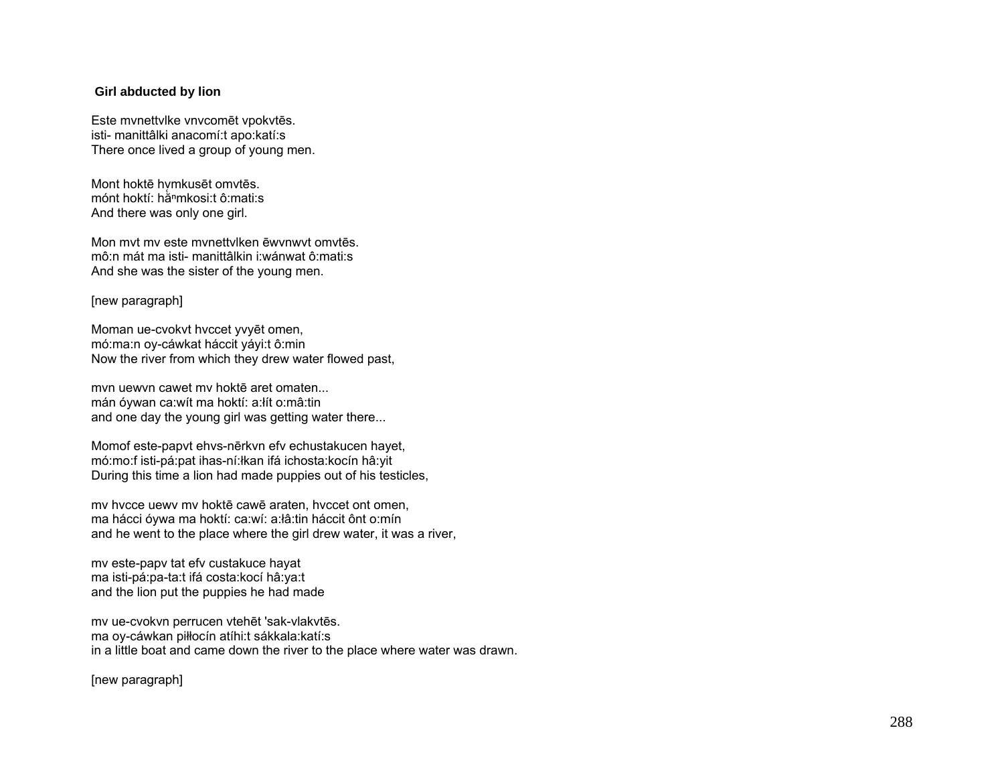## **Girl abducted by lion**

Este mvnettvlke vnvcomēt vpokvtēs. isti- manittâlki anacomí:t apo:katí:s There once lived a group of young men.

Mont hoktē hvmkusēt omvtēs. mónt hoktí: hằʰmkosi:t ô:mati:s And there was only one girl.

Mon mvt mv este mvnettvlken ēwvnwvt omvtēs. mô:n mát ma isti- manittâlkin i:wánwat ô:mati:s And she was the sister of the young men.

### [new paragraph]

Moman ue-cvokvt hvccet yvyēt omen, mó:ma:n oy-cáwkat háccit yáyi:t ô:min Now the river from which they drew water flowed past,

mvn uewvn cawet mv hoktē aret omaten... mán óywan ca:wít ma hoktí: a:łít o:mâ:tin and one day the young girl was getting water there...

Momof este-papvt ehvs-nērkvn efv echustakucen hayet, mó:mo:f isti-pá:pat ihas-ní:łkan ifá ichosta:kocín hâ:yit During this time a lion had made puppies out of his testicles,

mv hvcce uewv mv hoktē cawē araten, hvccet ont omen, ma hácci óywa ma hoktí: ca:wí: a:łâ:tin háccit ônt o:mín and he went to the place where the girl drew water, it was a river,

mv este-papv tat efv custakuce hayat ma isti-pá:pa-ta:t ifá costa:kocí hâ:ya:t and the lion put the puppies he had made

mv ue-cvokvn perrucen vtehēt 'sak-vlakvtēs. ma oy-cáwkan piłłocín atíhi:t sákkala:katí:s in a little boat and came down the river to the place where water was drawn.

[new paragraph]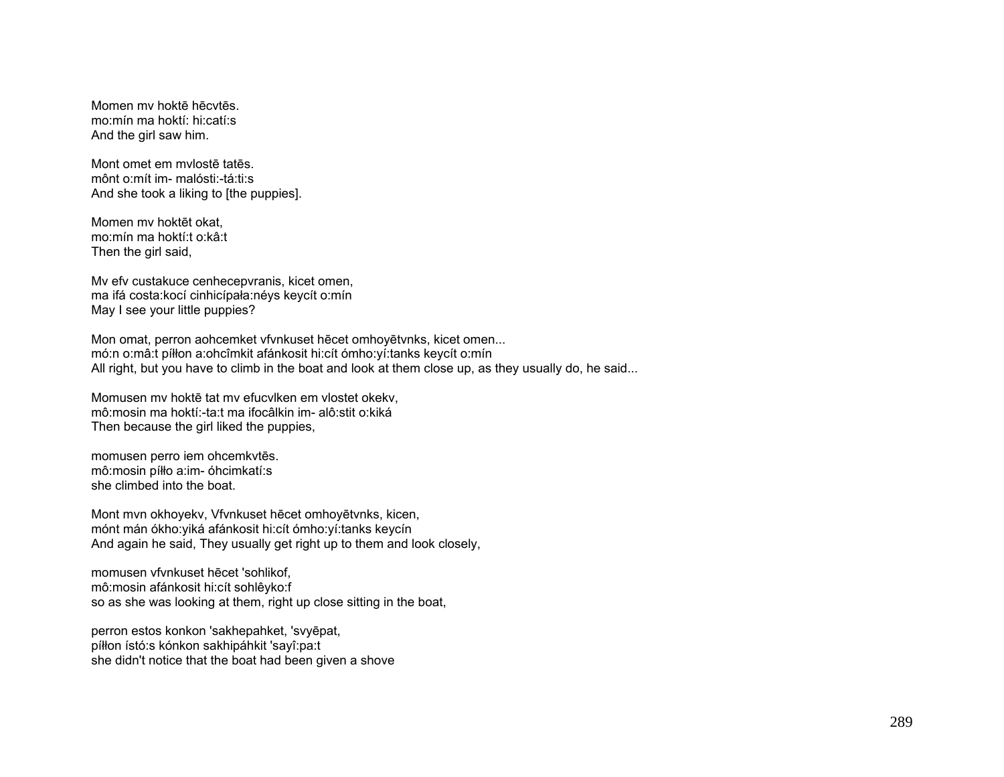Momen mv hoktē hēcvtēs. mo:mín ma hoktí: hi:catí:s And the girl saw him.

Mont omet em mvlostē tatēs. mônt o:mít im- malósti:-tá:ti:s And she took a liking to [the puppies].

Momen mv hoktēt okat, mo:mín ma hoktí:t o:kâ:t Then the girl said,

Mv efv custakuce cenhecepvranis, kicet omen, ma ifá costa:kocí cinhicípała:néys keycít o:mín May I see your little puppies?

Mon omat, perron aohcemket vfvnkuset hēcet omhoyētvnks, kicet omen... mó:n o:mâ:t píłłon a:ohcîmkit afánkosit hi:cít ómho:yí:tanks keycít o:mín All right, but you have to climb in the boat and look at them close up, as they usually do, he said...

Momusen mv hoktē tat mv efucvlken em vlostet okekv, mô:mosin ma hoktí:-ta:t ma ifocâlkin im- alô:stit o:kiká Then because the girl liked the puppies,

momusen perro iem ohcemkvtēs. mô:mosin píłło a:im- óhcimkatí:s she climbed into the boat.

Mont mvn okhoyekv, Vfvnkuset hēcet omhoyētvnks, kicen, mónt mán ókho:yiká afánkosit hi:cít ómho:yí:tanks keycín And again he said, They usually get right up to them and look closely,

momusen vfvnkuset hēcet 'sohlikof, mô:mosin afánkosit hi:cít sohlêyko:f so as she was looking at them, right up close sitting in the boat,

perron estos konkon 'sakhepahket, 'svyēpat, píłłon ístó:s kónkon sakhipáhkit 'sayî:pa:t she didn't notice that the boat had been given a shove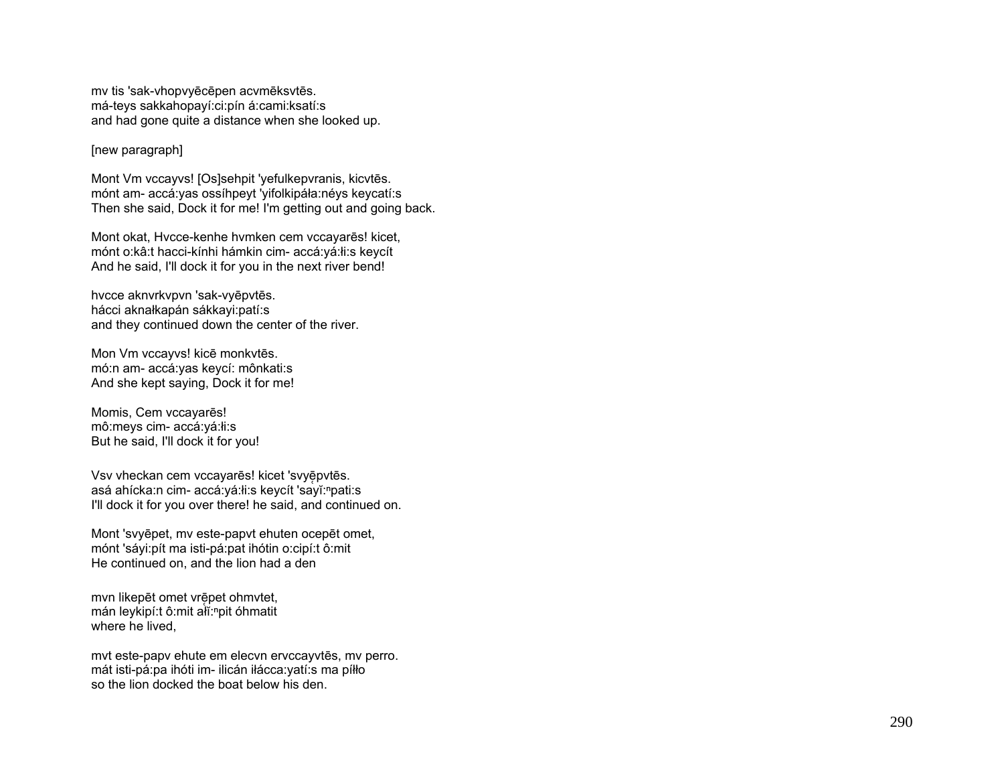mv tis 'sak-vhopvyēcēpen acvmēksvtēs. má-teys sakkahopayí:ci:pín á:cami:ksatí:s and had gone quite a distance when she looked up.

#### [new paragraph]

Mont Vm vccayvs! [Os]sehpit 'yefulkepvranis, kicvtēs. mónt am- accá:yas ossíhpeyt 'yifolkipáła:néys keycatí:s Then she said, Dock it for me! I'm getting out and going back.

Mont okat, Hvcce-kenhe hvmken cem vccayarēs! kicet, mónt o:kâ:t hacci-kínhi hámkin cim- accá:yá:łi:s keycít And he said, I'll dock it for you in the next river bend!

hvcce aknvrkvpvn 'sak-vyēpvtēs. hácci aknałkapán sákkayi:patí:s and they continued down the center of the river.

Mon Vm vccayvs! kicē monkvtēs. mó:n am- accá:yas keycí: mônkati:s And she kept saying, Dock it for me!

Momis, Cem vccayarēs! mô:meys cim- accá:yá:łi:s But he said, I'll dock it for you!

Vsv vheckan cem vccayarēs! kicet 'svyēpvtēs. asá ahícka:n cim- accá:yá:łi:s keycít 'sayĭ:<sup>n</sup>pati:s I'll dock it for you over there! he said, and continued on.

Mont 'svyēpet, mv este-papvt ehuten ocepēt omet, mónt 'sáyi:pít ma isti-pá:pat ihótin o:cipí:t ô:mit He continued on, and the lion had a den

mvn likepēt omet vrēpet ohmvtet, mán leykipí:t ô:mit alĭ:npit óhmatit where he lived,

mvt este-papv ehute em elecvn ervccayvtēs, mv perro. mát isti-pá:pa ihóti im- ilicán iłácca:yatí:s ma píłł<sup>o</sup> so the lion docked the boat below his den.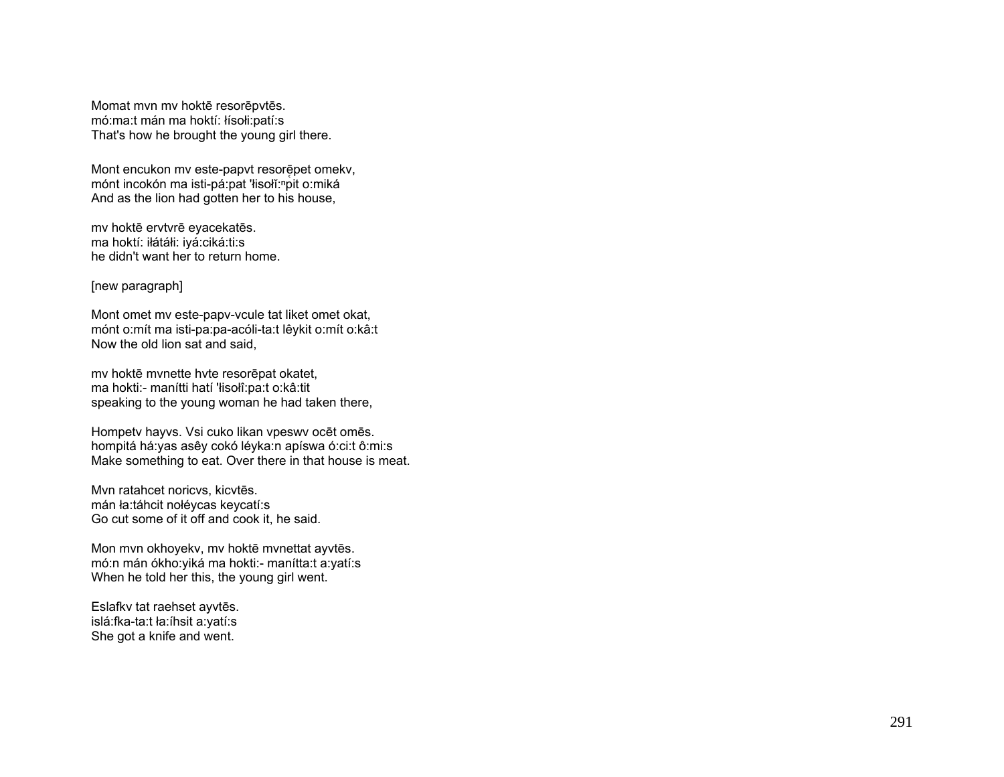Momat mvn mv hoktē resorēpvtēs. mó:ma:t mán ma hoktí: łísołi:patí:s That's how he brought the young girl there.

Mont encukon mv este-papvt resorēpet omekv, mónt incokón ma isti-pá:pat 'łisołĭ:<sup>n</sup>pit o:miká And as the lion had gotten her to his house,

mv hoktē ervtvrē eyacekatēs. ma hoktí: iłátáłi: iyá:ciká:ti:s he didn't want her to return home.

[new paragraph]

Mont omet mv este-papv-vcule tat liket omet okat, mónt o:mít ma isti-pa:pa-acóli-ta:t lêykit o:mít o:kâ:t Now the old lion sat and said,

mv hoktē mvnette hvte resorēpat okatet, ma hokti:- manítti hatí 'łisołî:pa:t o:kâ:tit speaking to the young woman he had taken there,

Hompetv hayvs. Vsi cuko likan vpeswv ocēt omēs. hompitá há:yas asêy cokó léyka:n apíswa ó:ci:t ô:mi:s Make something to eat. Over there in that house is meat.

Mvn ratahcet noricvs, kicvtēs. mán ła:táhcit nołéycas keycatí:s Go cut some of it off and cook it, he said.

Mon mvn okhoyekv, mv hoktē mvnettat ayvtēs. mó:n mán ókho:yiká ma hokti:- manítta:t a:yatí:s When he told her this, the young girl went.

Eslafkv tat raehset ayvtēs. islá:fka-ta:t ła:íhsit a:yatí:s She got a knife and went.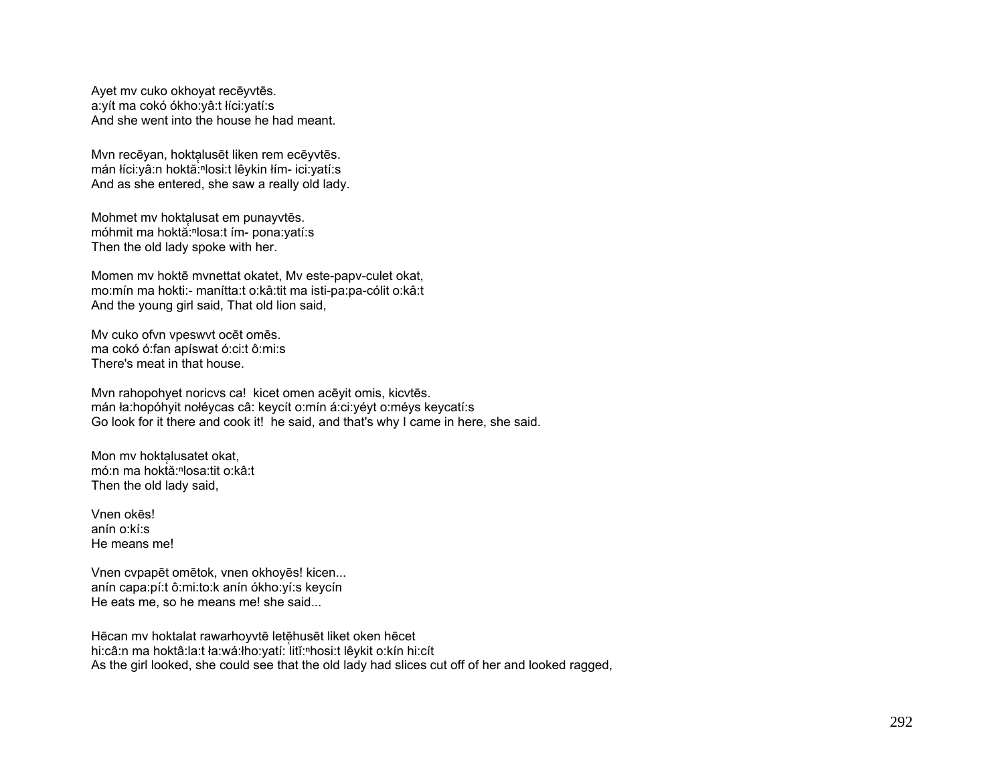Ayet mv cuko okhoyat recēyvtēs. a:yít ma cokó ókho:yâ:t łíci:yatí:s And she went into the house he had meant.

Mvn recēyan, hoktalusēt liken rem ecēyvtēs. mán łíci:yâ:n hoktă:<sup>ⁿ</sup>losi:t lêykin łím- ici:yatí:s And as she entered, she saw a really old lady.

Mohmet mv hoktalusat em punayvtēs. móhmit ma hoktă:<sup>ⁿ</sup>losa:t ím- pona:yatí:s Then the old lady spoke with her.

Momen mv hoktē mvnettat okatet, Mv este-papv-culet okat, mo:mín ma hokti:- manítta:t o:kâ:tit ma isti-pa:pa-cólit o:kâ:t And the young girl said, That old lion said,

Mv cuko ofvn vpeswvt ocēt omēs. ma cokó ó:fan apíswat ó:ci:t ô:mi:s There's meat in that house.

Mvn rahopohyet noricvs ca! kicet omen acēyit omis, kicvtēs. mán ła:hopóhyit nołéycas câ: keycít o:mín á:ci:yéyt o:méys keycatí:s Go look for it there and cook it! he said, and that's why I came in here, she said.

Mon mv hoktalusatet okat, mó:n ma hoktă:<sup>ⁿ</sup>losa:tit o:kâ:t Then the old lady said,

Vnen okēs! anín o:kí:s He means me!

Vnen cvpapēt omētok, vnen okhoyēs! kicen... anín capa:pí:t ô:mi:to:k anín ókho:yí:s keycín He eats me, so he means me! she said...

Hēcan mv hoktalat rawarhoyvtē letēhusēt liket oken hēcet hi:câ:n ma hoktâ:la:t ła:wá:łho:yatí: litĭ:<sup>n</sup>hosi:t lêykit o:kín hi:cít As the girl looked, she could see that the old lady had slices cut off of her and looked ragged,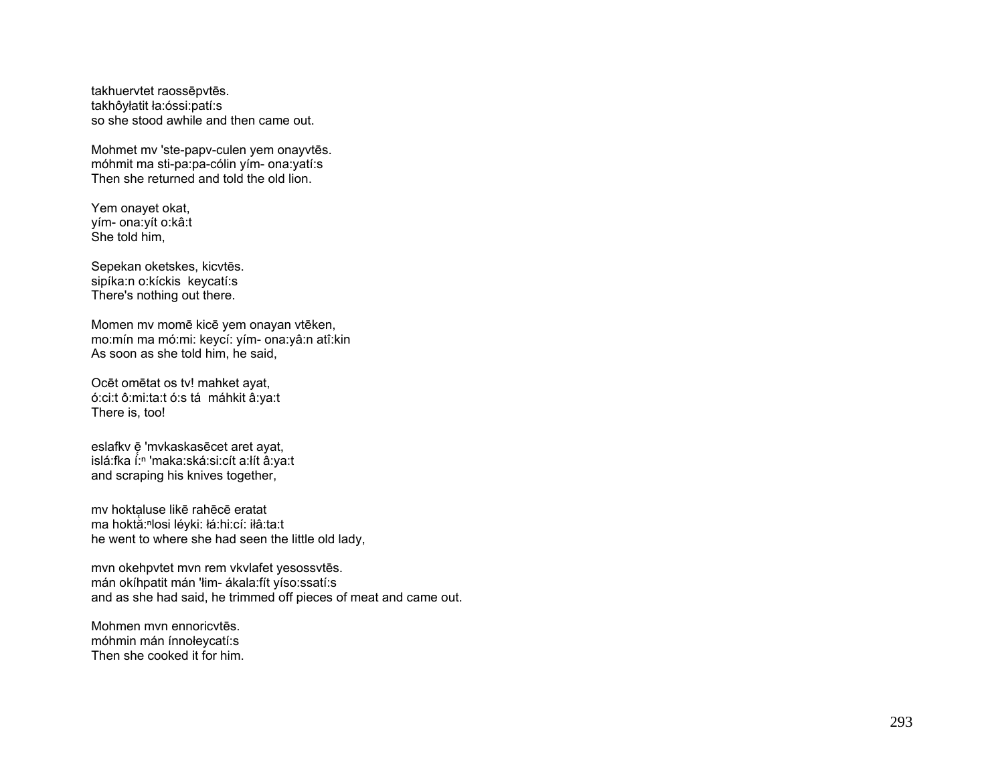takhuervtet raossēpvtēs. takhôyłatit ła:óssi:patí:s so she stood awhile and then came out.

Mohmet mv 'ste-papv-culen yem onayvtēs. móhmit ma sti-pa:pa-cólin yím- ona:yatí:s Then she returned and told the old lion.

Yem onayet okat, yím- ona:yít o:kâ:t She told him,

Sepekan oketskes, kicvtēs. sipíka:n o:kíckis keycatí:s There's nothing out there.

Momen mv momē kicē yem onayan vtēken, mo:mín ma mó:mi: keycí: yím- ona:yâ:n atî:kin As soon as she told him, he said,

Ocēt omētat os tv! mahket ayat, ó:ci:t ô:mi:ta:t ó:s tá máhkit â:ya:t There is, too!

eslafkv ē̞ 'mvkaskasēcet aret ayat, islá:fka í:<sup>ⁿ</sup> 'maka:ská:si:cít a:łít â:ya:t and scraping his knives together,

mv hoktaluse likē rahēcē eratat ̜ ma hoktă:<sup>ⁿ</sup>losi léyki: łá:hi:cí: iłâ:ta:t he went to where she had seen the little old lady,

mvn okehpvtet mvn rem vkvlafet yesossvtēs. mán okíhpatit mán 'łim- ákala:fít yíso:ssatí:s and as she had said, he trimmed off pieces of meat and came out.

Mohmen mvn ennoricvtēs. móhmin mán ínnołeycatí:s Then she cooked it for him.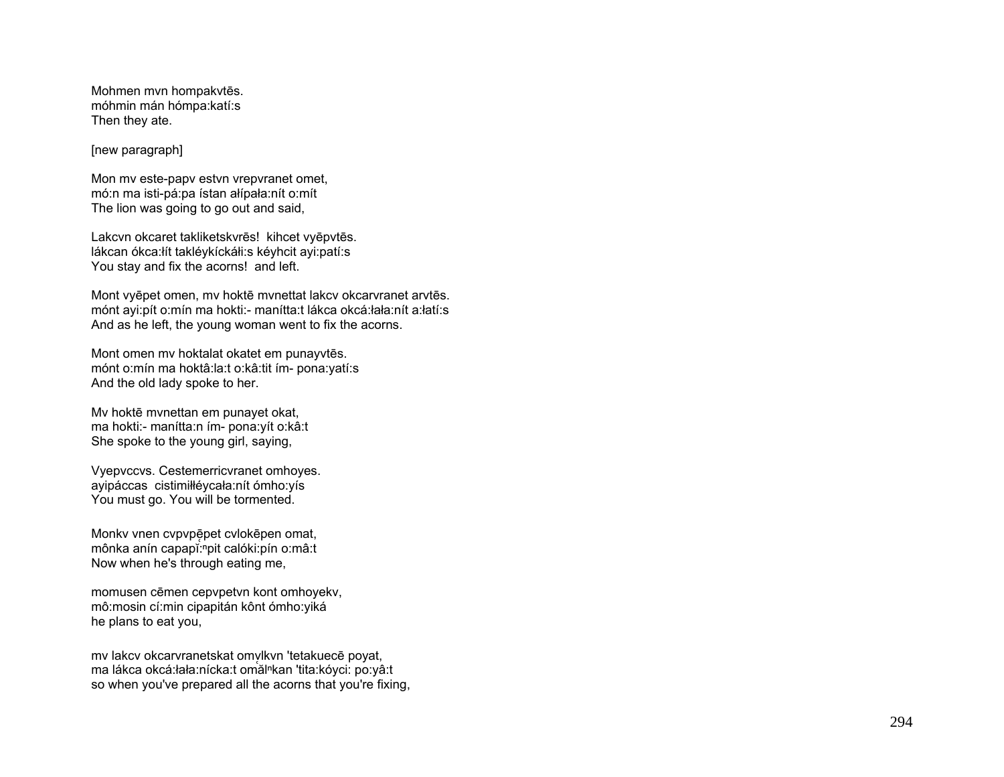Mohmen mvn hompakvtēs. móhmin mán hómpa:katí:s Then they ate.

[new paragraph]

Mon mv este-papv estvn vrepvranet omet, mó:n ma isti-pá:pa ístan ałípała:nít o:mít The lion was going to go out and said,

Lakcvn okcaret takliketskvrēs! kihcet vyēpvtēs. lákcan ókca:łít takléykíckáłi:s kéyhcit ayi:patí:s You stay and fix the acorns! and left.

Mont vyēpet omen, mv hoktē mvnettat lakcv okcarvranet arvtēs. mónt ayi:pít o:mín ma hokti:- manítta:t lákca okcá:łała:nít a:łatí:s And as he left, the young woman went to fix the acorns.

Mont omen mv hoktalat okatet em punayvtēs. mónt o:mín ma hoktâ:la:t o:kâ:tit ím- pona:yatí:s And the old lady spoke to her.

Mv hoktē mvnettan em punayet okat, ma hokti:- manítta:n ím- pona:yít o:kâ:t She spoke to the young girl, saying,

Vyepvccvs. Cestemerricvranet omhoyes. ayipáccas cistimiłłéycała:nít ómho:yís You must go. You will be tormented.

Monkv vnen cvpvpē̜pet cvlokēpen omat, mônka anín capapĭ:npit calóki:pín o:mâ:t Now when he's through eating me,

momusen cēmen cepvpetvn kont omhoyekv, mô:mosin cí:min cipapitán kônt ómho:yiká he plans to eat you,

mv lakcv okcarvranetskat omylkvn 'tetakuecē poyat, ̜ ma lákca okcá:łała:nícka:t omălⁿkan 'tita:kóyci: po:yâ:t so when you've prepared all the acorns that you're fixing,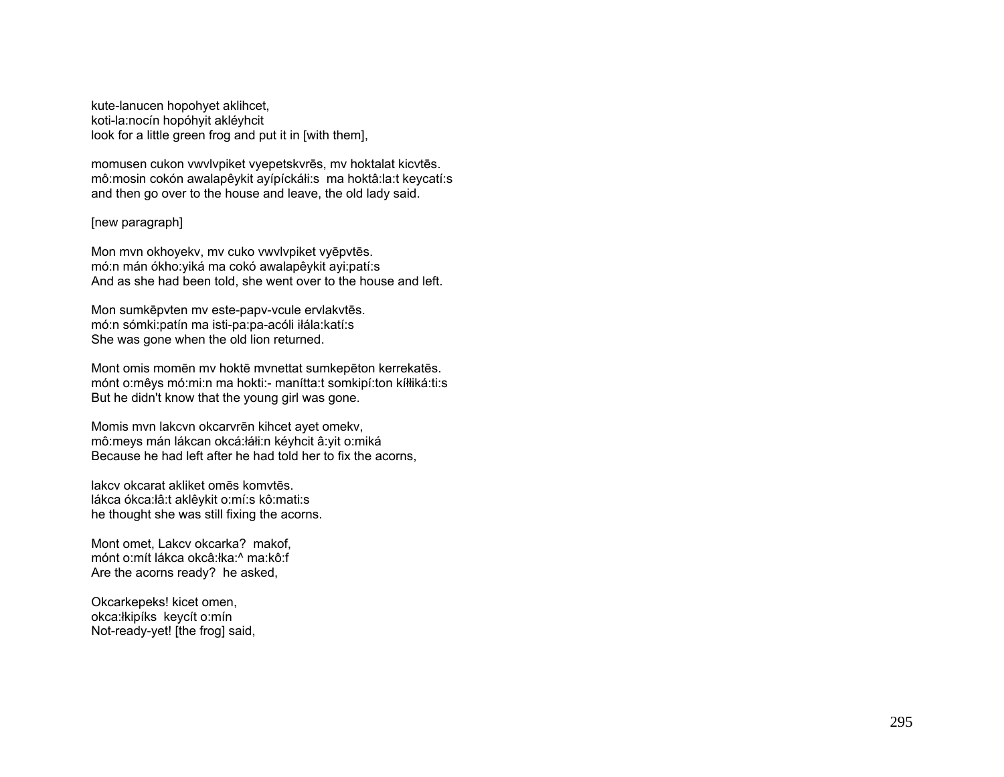kute-lanucen hopohyet aklihcet, koti-la:nocín hopóhyit akléyhcit look for a little green frog and put it in [with them],

momusen cukon vwvlvpiket vyepetskvrēs, mv hoktalat kicvtēs. mô:mosin cokón awalapêykit ayípíckáłi:s ma hoktâ:la:t keycatí:s and then go over to the house and leave, the old lady said.

# [new paragraph]

Mon mvn okhoyekv, mv cuko vwvlvpiket vyēpvtēs. mó:n mán ókho:yiká ma cokó awalapêykit ayi:patí:s And as she had been told, she went over to the house and left.

Mon sumkēpvten mv este-papv-vcule ervlakvtēs. mó:n sómki:patín ma isti-pa:pa-acóli iłála:katí:s She was gone when the old lion returned.

Mont omis momēn mv hoktē mvnettat sumkepēton kerrekatēs. mónt o:mêys mó:mi:n ma hokti:- manítta:t somkipí:ton kíłłiká:ti:s But he didn't know that the young girl was gone.

Momis mvn lakcvn okcarvrēn kihcet ayet omekv, mô:meys mán lákcan okcá:łáłi:n kéyhcit â:yit o:miká Because he had left after he had told her to fix the acorns,

lakcv okcarat akliket omēs komvtēs. lákca ókca:łâ:t aklêykit o:mí:s kô:mati:s he thought she was still fixing the acorns.

Mont omet, Lakcv okcarka? makof, mónt o:mít lákca okcâ:łka:^ ma:kô:f Are the acorns ready? he asked,

Okcarkepeks! kicet omen, okca:łkipíks keycít o:mín Not-ready-yet! [the frog] said,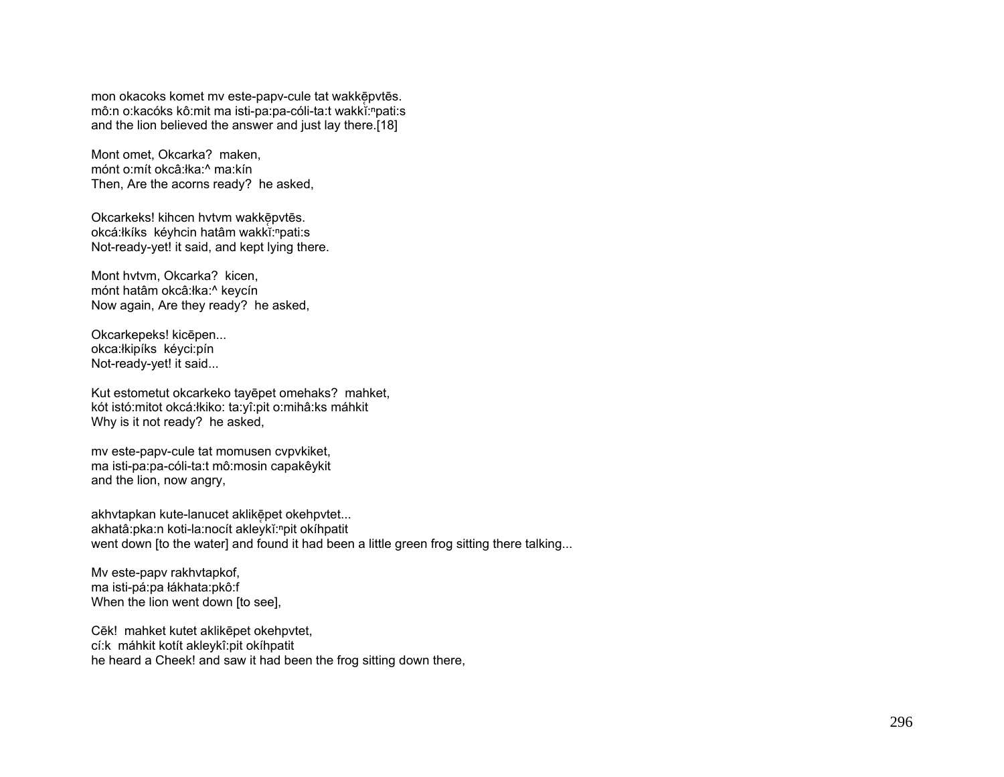mon okacoks komet mv este-papv-cule tat wakkē̥pvtēs. mô:n o:kacóks kô:mit ma isti-pa:pa-cóli-ta:t wakkĭ:<sup>n</sup>pati:s and the lion believed the answer and just lay there.[18]

Mont omet, Okcarka? maken, mónt o:mít okcâ:łka:^ ma:kín Then, Are the acorns ready? he asked,

Okcarkeks! kihcen hvtvm wakkē̞pvtēs. okcá:łkíks kéyhcin hatâm wakkĭ:<sup>n</sup>pati:s Not-ready-yet! it said, and kept lying there.

Mont hvtvm, Okcarka? kicen, mónt hatâm okcâ:łka:^ keycín Now again, Are they ready? he asked,

Okcarkepeks! kic ēpen... okca:łkipíks kéyci:pín Not-ready-yet! it said...

Kut estometut okcarkeko tay ēpet omehaks? mahket, kót istó:mitot okcá:łkiko: ta:yî:pit o:mihâ:ks máhkit Why is it not ready? he asked,

mv este-papv-cule tat momusen cvpvkiket, ma isti-pa:pa-cóli-ta:t mô:mosin capakêykit and the lion, now angry,

akhvtapkan kute-lanucet aklikē̥pet okehpvtet... akhatâ:pka:n koti-la:nocít akleykĭ:<sup>n</sup>pit okíhpatit went down [to the water] and found it had been a little green frog sitting there talking...

Mv este-papv rakhvtapkof, ma isti-pá:pa łákhata:pkô:f When the lion went down [to see],

Cēk! mahket kutet aklik ēpet okehpvtet, cí:k máhkit kotít akleykî:pit okíhpatit he heard a Cheek! and saw it had been the frog sitting down there,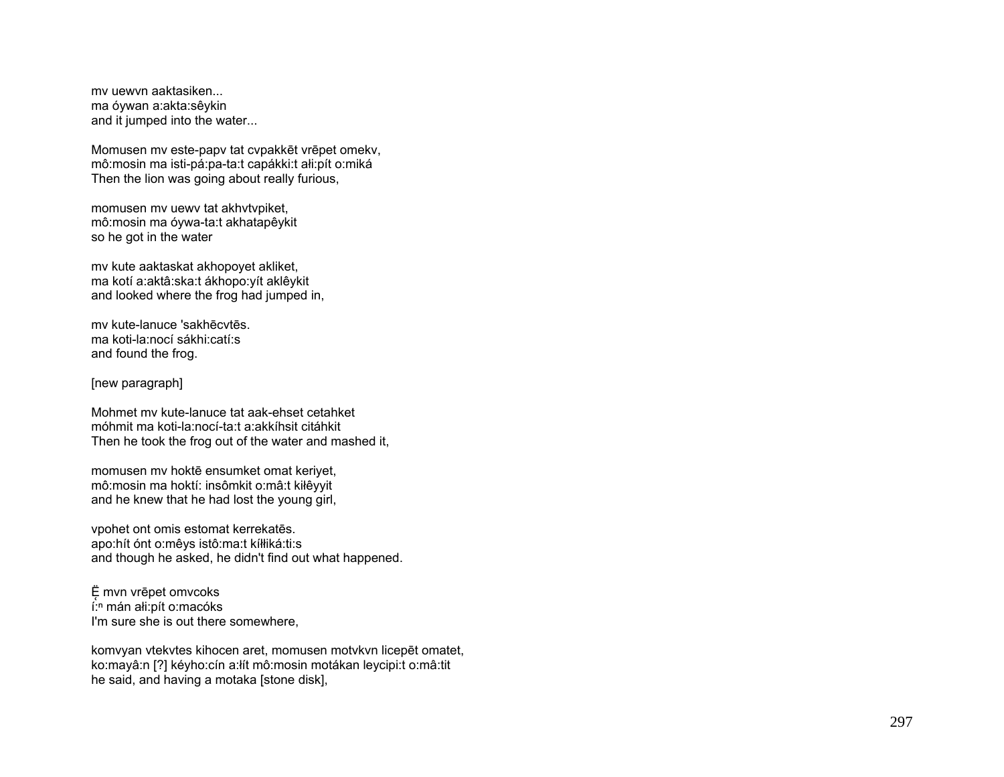mv uewvn aaktasiken... ma óywan a:akta:sêykin and it jumped into the water...

Momusen mv este-papv tat cvpakkēt vrēpet omekv, mô:mosin ma isti-pá:pa-ta:t capákki:t ałi:pít o:miká Then the lion was going about really furious,

momusen mv uewv tat akhvtvpiket, mô:mosin ma óywa-ta:t akhatapêykit so he got in the water

mv kute aaktaskat akhopoyet akliket, ma kotí a:aktâ:ska:t ákhopo:yít aklêykit and looked where the frog had jumped in,

mv kute-lanuce 'sakhēcvtēs. ma koti-la:nocí sákhi:catí:s and found the frog.

[new paragraph]

Mohmet mv kute-lanuce tat aak-ehset cetahket móhmit ma koti-la:nocí-ta:t a:akkíhsit citáhkit Then he took the frog out of the water and mashed it,

momusen mv hoktē ensumket omat keriyet, mô:mosin ma hoktí: insômkit o:mâ:t kiłêyyit and he knew that he had lost the young girl,

vpohet ont omis estomat kerrekatēs. apo:hít ónt o:mêys istô:ma:t kíłłiká:ti:s and though he asked, he didn't find out what happened.

Ë mvn vrēpet omvcoks í:<sup>n</sup> mán ałi:pít o:macóks I'm sure she is out there somewhere.

komvyan vtekvtes kihocen aret, momusen motvkvn licepēt omatet, ko:mayâ:n [?] kéyho:cín a:łít mô:mosin motákan leycipi:t o:mâ:tit he said, and having a motaka [stone disk],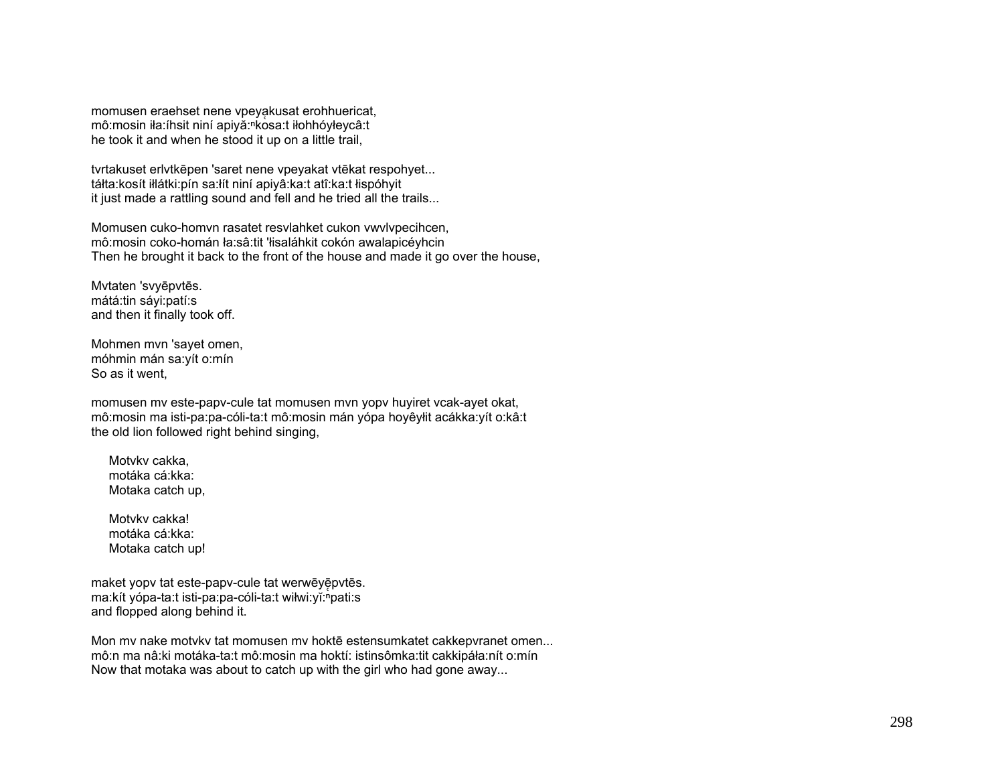momusen eraehset nene vpeyakusat erohhuericat, mô:mosin iła:íhsit niní apiyă:<sup>n</sup>kosa:t iłohhóyłeycâ:t he took it and when he stood it up on a little trail,

tvrtakuset erlvtkēpen 'saret nene vpeyakat vtēkat respohyet... táłta:kosít iłlátki:pín sa:łít niní apiyâ:ka:t atî:ka:t łispóhyit it just made a rattling sound and fell and he tried all the trails...

Momusen cuko-homvn rasatet resvlahket cukon vwvlvpecihcen, mô:mosin coko-homán ła:sâ:tit 'łisaláhkit cokón awalapicéyhcin Then he brought it back to the front of the house and made it go over the house,

Mvtaten 'svyēpvtēs. mátá:tin sáyi:patí:s and then it finally took off.

Mohmen mvn 'sayet omen, móhmin mán sa:yít o:mín So as it went,

momusen mv este-papv-cule tat momusen mvn yopv huyiret vcak-ayet okat, mô:mosin ma isti-pa:pa-cóli-ta:t mô:mosin mán yópa hoyêyłit acákka:yít o:kâ:t the old lion followed right behind singing,

Motyky cakka. motáka cá:kka: Motaka catch up,

Motvky cakka! motáka cá:kka: Motaka catch up!

maket yopy tat este-papy-cule tat werwēyē pytēs. ma:kít yópa-ta:t isti-pa:pa-cóli-ta:t wiłwi:yĭ:hpati:s and flopped along behind it.

Mon mv nake motvkv tat momusen mv hoktē estensumkatet cakkepvranet omen... mô:n ma nâ:ki motáka-ta:t mô:mosin ma hoktí: istinsômka:tit cakkipáła:nít o:mín Now that motaka was about to catch up with the girl who had gone away...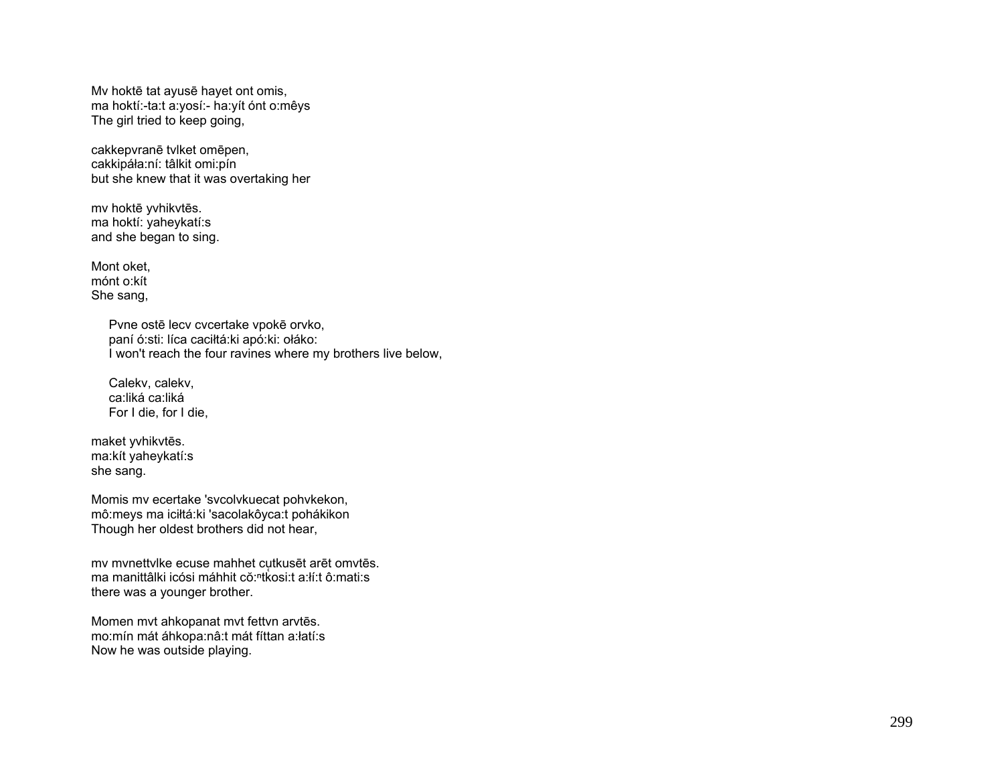Mv hoktē tat ayusē hayet ont omis, ma hoktí:-ta:t a:yosí:- ha:yít ónt o:mêys The girl tried to keep going,

cakkepvranē tvlket omēpen, cakkipáła:ní: tâlkit omi:pín but she knew that it was overtaking her

mv hoktē yvhikvtēs. ma hoktí: yaheykatí:s and she began to sing.

Mont oket, mónt o:kít She sang,

> Pvne ostē lecv cvcertake vpokē orvko, paní ó:sti: líca caciłtá:ki apó:ki: ołáko: I won't reach the four ravines where my brothers live below,

 Calekv, calekv, ca:liká ca:liká For I die, for I die,

maket yvhikvtēs. ma:kít yaheykatí:s she sang.

Momis mv ecertake 'svcolvkuecat pohvkekon, mô:meys ma iciłtá:ki 'sacolakôyca:t pohákikon Though her oldest brothers did not hear,

mv mvnettvlke ecuse mahhet cutkusēt arēt omvtēs. ma manittâlki icósi máhhit cŏ:ʰtkosi:t a:łí:t ô:mati:s there was a younger brother.

Momen mvt ahkopanat mvt fettvn arvtēs. mo:mín mát áhkopa:nâ:t mát fíttan a:łatí:s Now he was outside playing.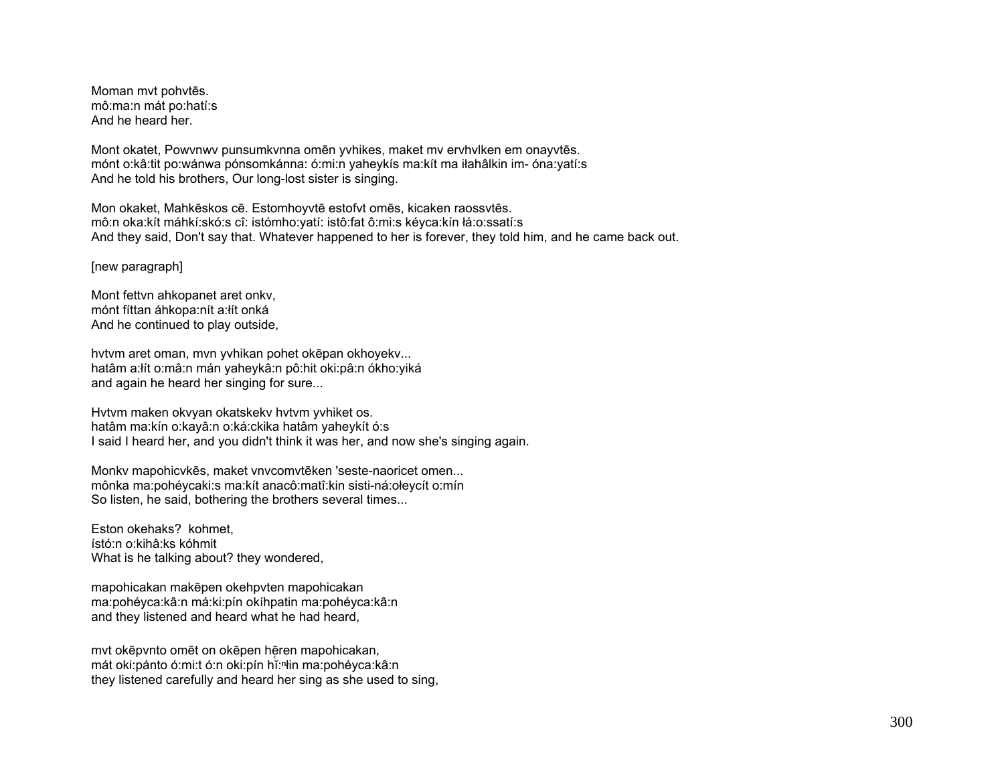Moman mvt pohvtēs. mô:ma:n mát po:hatí:s And he heard her.

Mont okatet, Powvnwv punsumkvnna omēn yvhikes, maket mv ervhvlken em onayvtēs. mónt o:kâ:tit po:wánwa pónsomkánna: ó:mi:n yaheykís ma:kít ma iłahâlkin im- óna:yatí:s And he told his brothers, Our long-lost sister is singing.

Mon okaket, Mahkēskos cē. Estomhoyvtē estofvt omēs, kicaken raossvtēs. mô:n oka:kít máhkí:skó:s cî: istómho:yatí: istô:fat ô:mi:s kéyca:kín łá:o:ssatí:s And they said, Don't say that. Whatever happened to her is forever, they told him, and he came back out.

[new paragraph]

Mont fettvn ahkopanet aret onkv, mónt fíttan áhkopa:nít a:łít onká And he continued to play outside,

hvtvm aret oman, mvn yvhikan pohet okēpan okhoyekv... hatâm a:łít o:mâ:n mán yaheykâ:n pô:hit oki:pâ:n ókho:yiká and again he heard her singing for sure...

Hvtvm maken okvyan okatskekv hvtvm yvhiket os. hatâm ma:kín o:kayâ:n o:ká:ckika hatâm yaheykít ó:s I said I heard her, and you didn't think it was her, and now she's singing again.

Monkv mapohicvkēs, maket vnvcomvtēken 'seste-naoricet omen... mônka ma:pohéycaki:s ma:kít anacô:matî:kin sisti-ná:ołeycít o:mín So listen, he said, bothering the brothers several times...

Eston okehaks? kohmet, ístó:n o:kihâ:ks kóhmit What is he talking about? they wondered,

mapohicakan makēpen okehpvten mapohicakan ma:pohéyca:kâ:n má:ki:pín okíhpatin ma:pohéyca:kâ:n and they listened and heard what he had heard,

mvt okēpvnto omēt on okēpen hēren mapohicakan, mát oki:pánto ó:mi:t ó:n oki:pín hĭ:ⁿłin ma:pohéyca:kâ:n they listened carefully and heard her sing as she used to sing,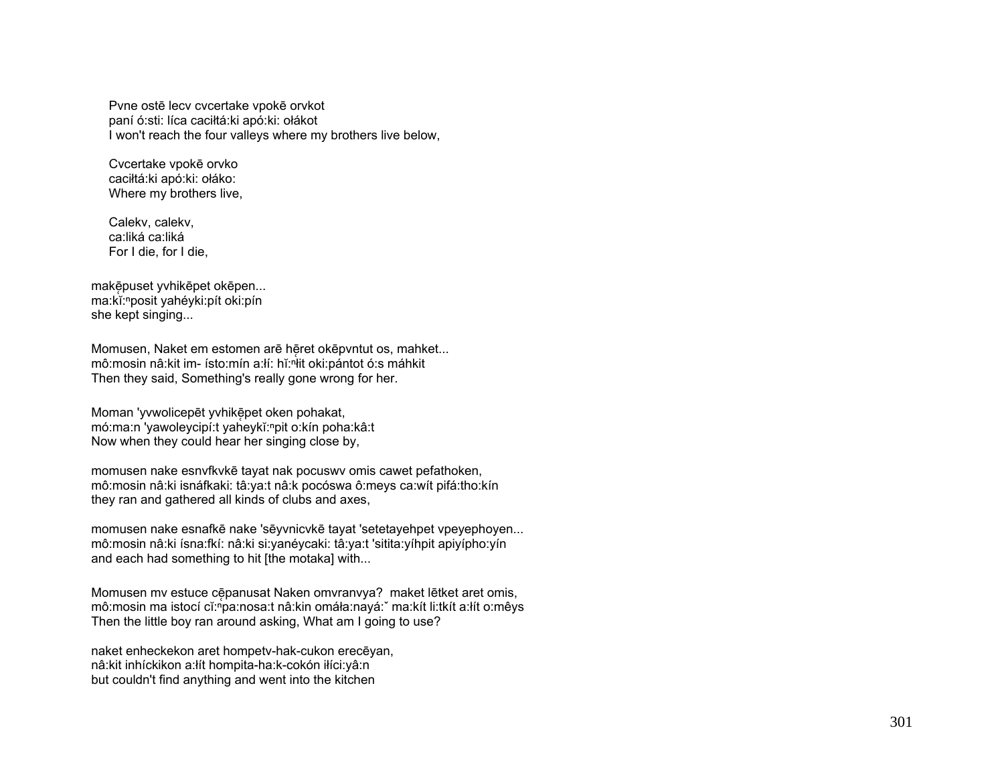Pvne ostē lecv cvcertake vpokē orvkot paní ó:sti: líca caciłtá:ki apó:ki: ołákot I won't reach the four valleys where my brothers live below,

 Cvcertake vpokē orvko caciłtá:ki apó:ki: ołáko: Where my brothers live,

 Calekv, calekv, ca:liká ca:liká For I die, for I die,

makē̞puset yvhikēpet okēpen... ma:kĭ:<sup>ⁿ</sup>posit yahéyki:pít oki:pín she kept singing...

Momusen, Naket em estomen arē hēret okēpvntut os, mahket... mô:mosin nâ:kit im- ísto:mín a:lí: hǐ:<sup>n</sup>it oki:pántot ó:s máhkit Then they said, Something's really gone wrong for her.

Moman 'yvwolicepēt yvhikēpet oken pohakat, mó:ma:n 'yawoleycipí:t yaheykĭ:npit o:kín poha:kâ:t Now when they could hear her singing close by,

momusen nake esnvfkvkē tayat nak pocuswv omis cawet pefathoken, mô:mosin nâ:ki isnáfkaki: tâ:ya:t nâ:k pocóswa ô:meys ca:wít pifá:tho:kín they ran and gathered all kinds of clubs and axes,

momusen nake esnafkē nake 'sēyvnicvkē tayat 'setetayehpet vpeyephoyen... mô:mosin nâ:ki ísna:fkí: nâ:ki si:yanéycaki: tâ:ya:t 'sitita:yíhpit apiyípho:yín and each had something to hit [the motaka] with...

Momusen mv estuce cēpanusat Naken omvranvya? maket lētket aret omis, mô:mosin ma istocí cĭ:ʰpa:nosa:t nâ:kin omáła:nayá:ˇ ma:kít li:tkít a:łít o:mêys Then the little boy ran around asking, What am I going to use?

naket enheckekon aret hompetv-hak-cukon erecēyan, nâ:kit inhíckikon a:łít hompita-ha:k-cokón iłíci:yâ:n but couldn't find anything and went into the kitchen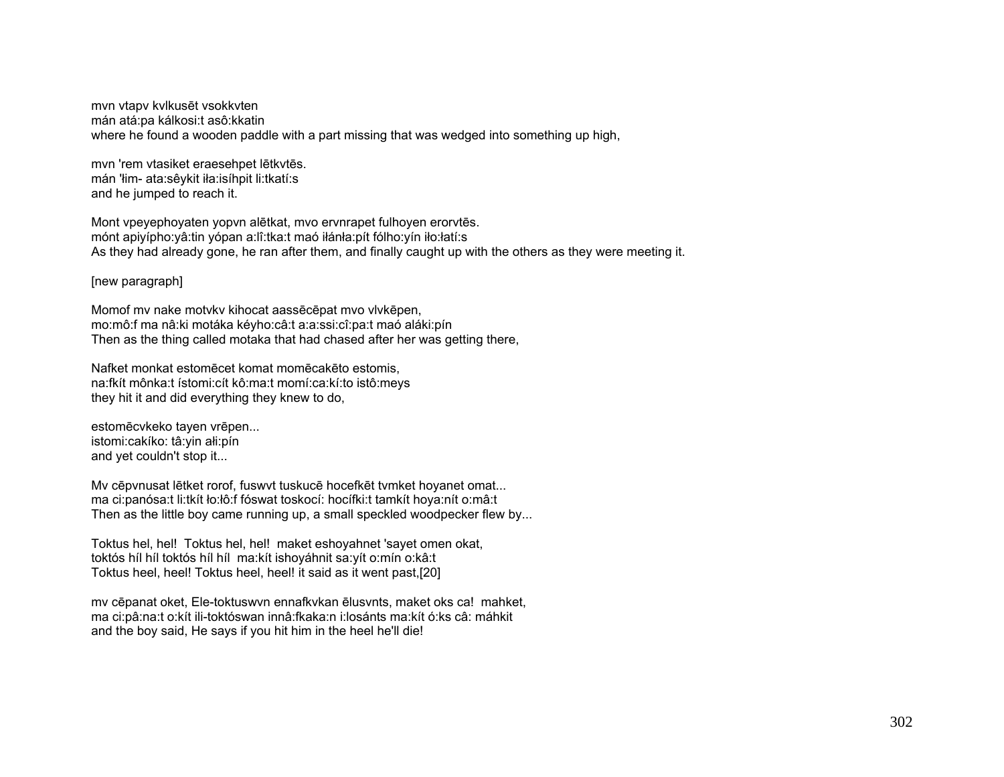mvn vtapv kvlkusēt vsokkvten mán atá:pa kálkosi:t asô:kkatin where he found a wooden paddle with a part missing that was wedged into something up high,

mvn 'rem vtasiket eraesehpet lētkvtēs. mán 'łim- ata:sêykit iła:isíhpit li:tkatí:s and he jumped to reach it.

Mont vpeyephoyaten yopvn alētkat, mvo ervnrapet fulhoyen erorvtēs. mónt apiyípho:yâ:tin yópan a:lî:tka:t maó iłánła:pít fólho:yín iło:łatí:s As they had already gone, he ran after them, and finally caught up with the others as they were meeting it.

[new paragraph]

Momof mv nake motvkv kihocat aassēcēpat mvo vlvkēpen, mo:mô:f ma nâ:ki motáka kéyho:câ:t a:a:ssi:cî:pa:t maó aláki:pín Then as the thing called motaka that had chased after her was getting there,

Nafket monkat estomēcet komat momēcakēto estomis, na:fkít mônka:t ístomi:cít kô:ma:t momí:ca:kí:to istô:meys they hit it and did everything they knew to do,

estomēcvkeko tayen vrēpen... istomi:cakíko: tâ:yin ałi:pín and yet couldn't stop it...

Mv cēpvnusat lētket rorof, fuswvt tuskucē hocefkēt tvmket hoyanet omat... ma ci:panósa:t li:tkít ło:łô:f fóswat toskocí: hocífki:t tamkít hoya:nít o:mâ:t Then as the little boy came running up, a small speckled woodpecker flew by...

Toktus hel, hel! Toktus hel, hel! maket eshoyahnet 'sayet omen okat, toktós híl híl toktós híl híl ma:kít ishoyáhnit sa:yít o:mín o:kâ:t Toktus heel, heel! Toktus heel, heel! it said as it went past,[20]

mv cēpanat oket, Ele-toktuswvn ennafkvkan ēlusvnts, maket oks ca! mahket, ma ci:pâ:na:t o:kít ili-toktóswan innâ:fkaka:n i:losánts ma:kít ó:ks câ: máhkit and the boy said, He says if you hit him in the heel he'll die!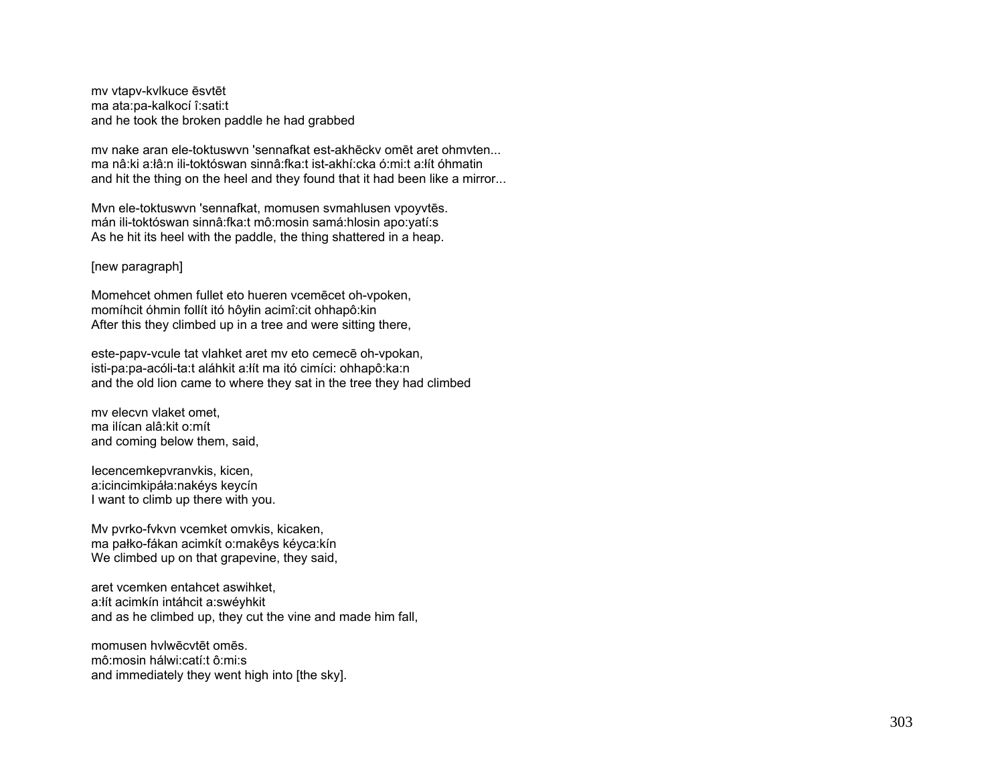mv vtapv-kvlkuce ēsvtēt ma ata:pa-kalkocí î:sati:t and he took the broken paddle he had grabbed

mv nake aran ele-toktuswvn 'sennafkat est-akhēckv omēt aret ohmvten... ma nâ:ki a:łâ:n ili-toktóswan sinnâ:fka:t ist-akhí:cka ó:mi:t a:łít óhmatin and hit the thing on the heel and they found that it had been like a mirror...

Mvn ele-toktuswvn 'sennafkat, momusen svmahlusen vpoyvtēs. mán ili-toktóswan sinnâ:fka:t mô:mosin samá:hlosin apo:yatí:s As he hit its heel with the paddle, the thing shattered in a heap.

# [new paragraph]

Momehcet ohmen fullet eto hueren vcemēcet oh-vpoken, momíhcit óhmin follít itó hôyłin acimî:cit ohhapô:kin After this they climbed up in a tree and were sitting there,

este-papv-vcule tat vlahket aret mv eto cemecē oh-vpokan, isti-pa:pa-acóli-ta:t aláhkit a:łít ma itó cimíci: ohhapô:ka:n and the old lion came to where they sat in the tree they had climbed

mv elecvn vlaket omet, ma ilícan alâ:kit o:mít and coming below them, said,

Iecencemkepvranvkis, kicen, a:icincimkipáła:nakéys keycín I want to climb up there with you.

Mv pvrko-fvkvn vcemket omvkis, kicaken, ma pałko-fákan acimkít o:makêys kéyca:kín We climbed up on that grapevine, they said,

aret vcemken entahcet aswihket, a:łít acimkín intáhcit a:swéyhkit and as he climbed up, they cut the vine and made him fall,

momusen hvlwēcvtēt omēs. mô:mosin hálwi:catí:t ô:mi:s and immediately they went high into [the sky].